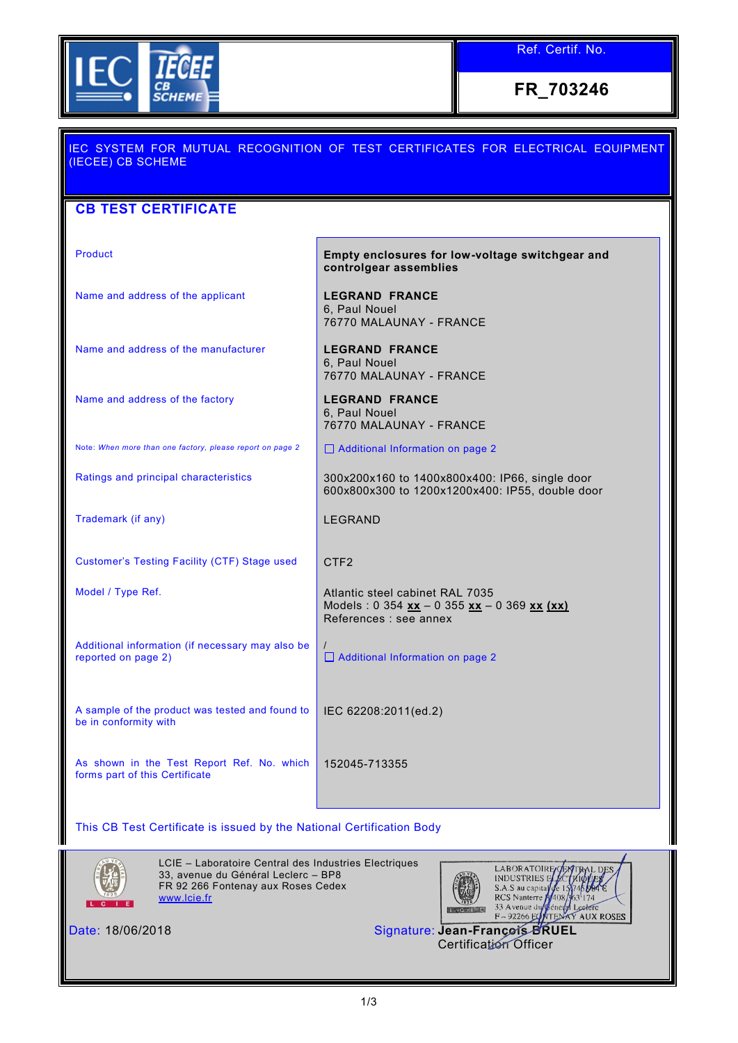

Ref. Certif. No.

**FR\_703246**

| IEC SYSTEM FOR MUTUAL RECOGNITION OF TEST CERTIFICATES FOR ELECTRICAL EQUIPMENT<br>(IECEE) CB SCHEME |                                                                                                          |  |  |  |  |  |
|------------------------------------------------------------------------------------------------------|----------------------------------------------------------------------------------------------------------|--|--|--|--|--|
| <b>CB TEST CERTIFICATE</b>                                                                           |                                                                                                          |  |  |  |  |  |
| <b>Product</b>                                                                                       | Empty enclosures for low-voltage switchgear and<br>controlgear assemblies                                |  |  |  |  |  |
| Name and address of the applicant                                                                    | <b>LEGRAND FRANCE</b><br>6. Paul Nouel<br>76770 MALAUNAY - FRANCE                                        |  |  |  |  |  |
| Name and address of the manufacturer                                                                 | <b>LEGRAND FRANCE</b><br>6, Paul Nouel<br>76770 MALAUNAY - FRANCE                                        |  |  |  |  |  |
| Name and address of the factory                                                                      | <b>LEGRAND FRANCE</b><br>6, Paul Nouel<br>76770 MALAUNAY - FRANCE                                        |  |  |  |  |  |
| Note: When more than one factory, please report on page 2                                            | □ Additional Information on page 2                                                                       |  |  |  |  |  |
| Ratings and principal characteristics                                                                | 300x200x160 to 1400x800x400: IP66, single door<br>600x800x300 to 1200x1200x400: IP55, double door        |  |  |  |  |  |
| Trademark (if any)                                                                                   | <b>LEGRAND</b>                                                                                           |  |  |  |  |  |
| Customer's Testing Facility (CTF) Stage used                                                         | CTF <sub>2</sub>                                                                                         |  |  |  |  |  |
| Model / Type Ref.                                                                                    | Atlantic steel cabinet RAL 7035<br>Models: 0 354 xx - 0 355 xx - 0 369 xx (xx)<br>References : see annex |  |  |  |  |  |
| Additional information (if necessary may also be<br>reported on page 2)                              | □ Additional Information on page 2                                                                       |  |  |  |  |  |
| A sample of the product was tested and found to<br>be in conformity with                             | IEC 62208:2011(ed.2)                                                                                     |  |  |  |  |  |
| As shown in the Test Report Ref. No. which<br>forms part of this Certificate                         | 152045-713355                                                                                            |  |  |  |  |  |
|                                                                                                      |                                                                                                          |  |  |  |  |  |

This CB Test Certificate is issued by the National Certification Body



LCIE – Laboratoire Central des Industries Electriques 33, avenue du Général Leclerc – BP8 FR 92 266 Fontenay aux Roses Cedex [www.lcie.fr](http://www.lcie.fr/)



 $3^{1}174$ 33 Avenue du Géne A Legere m

**EXTRAL DES** 

Date: 18/06/2018 Signature: **Jean-François BRUEL** Certification Officer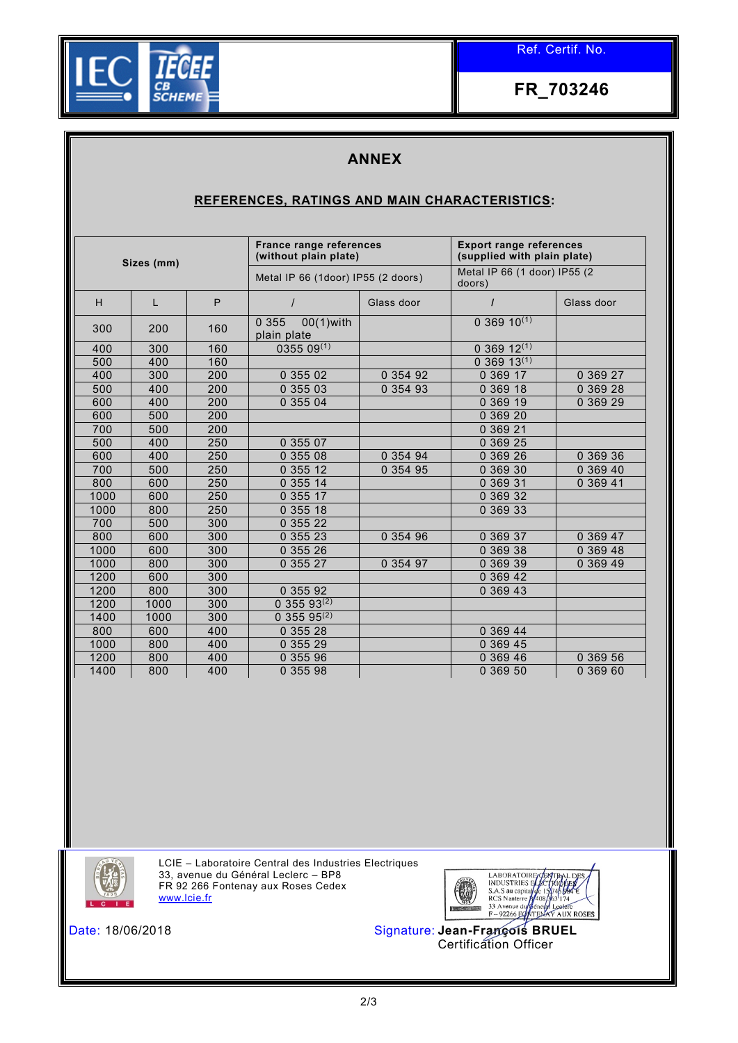

Ref. Certif. No.

**FR\_703246**

## **ANNEX**

## **REFERENCES, RATINGS AND MAIN CHARACTERISTICS:**

| Sizes (mm) |      | <b>France range references</b><br>(without plain plate) |                                        | <b>Export range references</b><br>(supplied with plain plate) |                           |            |
|------------|------|---------------------------------------------------------|----------------------------------------|---------------------------------------------------------------|---------------------------|------------|
|            |      | Metal IP 66 (1door) IP55 (2 doors)                      |                                        | Metal IP 66 (1 door) IP55 (2<br>doors)                        |                           |            |
| H          | L    | P                                                       |                                        | Glass door                                                    | $\prime$                  | Glass door |
| 300        | 200  | 160                                                     | 0 3 5 5<br>$00(1)$ with<br>plain plate |                                                               | $0.369$ 10 <sup>(1)</sup> |            |
| 400        | 300  | 160                                                     | $0355\,09^{(1)}$                       |                                                               | $036912^{(1)}$            |            |
| 500        | 400  | 160                                                     |                                        |                                                               | $0.369.13^{(1)}$          |            |
| 400        | 300  | 200                                                     | 0 355 02                               | 0 354 92                                                      | 0 369 17                  | 0 369 27   |
| 500        | 400  | 200                                                     | 0 355 03                               | 0 354 93                                                      | 0 369 18                  | 0 369 28   |
| 600        | 400  | 200                                                     | 0 355 04                               |                                                               | 0 369 19                  | 0 369 29   |
| 600        | 500  | 200                                                     |                                        |                                                               | 0 369 20                  |            |
| 700        | 500  | 200                                                     |                                        |                                                               | 0 369 21                  |            |
| 500        | 400  | 250                                                     | 0 355 07                               |                                                               | 0 369 25                  |            |
| 600        | 400  | 250                                                     | 0 355 08                               | 0 354 94                                                      | 0 369 26                  | 0 369 36   |
| 700        | 500  | 250                                                     | 0 355 12                               | 0 354 95                                                      | 0 369 30                  | 0 369 40   |
| 800        | 600  | 250                                                     | 0 355 14                               |                                                               | 0 369 31                  | 0 369 41   |
| 1000       | 600  | 250                                                     | 0 355 17                               |                                                               | 0 369 32                  |            |
| 1000       | 800  | 250                                                     | 0 355 18                               |                                                               | 0 369 33                  |            |
| 700        | 500  | 300                                                     | 0 355 22                               |                                                               |                           |            |
| 800        | 600  | 300                                                     | 0 355 23                               | 0 354 96                                                      | 0 369 37                  | 0 369 47   |
| 1000       | 600  | 300                                                     | 0 355 26                               |                                                               | 0 369 38                  | 0 369 48   |
| 1000       | 800  | 300                                                     | 0 355 27                               | 0 354 97                                                      | 0 369 39                  | 0 369 49   |
| 1200       | 600  | 300                                                     |                                        |                                                               | 0 369 42                  |            |
| 1200       | 800  | 300                                                     | 0 355 92                               |                                                               | 0 369 43                  |            |
| 1200       | 1000 | 300                                                     | $0.355.93^{(2)}$                       |                                                               |                           |            |
| 1400       | 1000 | 300                                                     | $0.355.95^{(2)}$                       |                                                               |                           |            |
| 800        | 600  | 400                                                     | 0 355 28                               |                                                               | 0 369 44                  |            |
| 1000       | 800  | 400                                                     | 0 355 29                               |                                                               | 0 369 45                  |            |
| 1200       | 800  | 400                                                     | 0 355 96                               |                                                               | 0 369 46                  | 0 369 56   |
| 1400       | 800  | 400                                                     | 0 355 98                               |                                                               | 0 369 50                  | 0 369 60   |



LCIE – Laboratoire Central des Industries Electriques 33, avenue du Général Leclerc – BP8 FR 92 266 Fontenay aux Roses Cedex [www.lcie.fr](http://www.lcie.fr/)



Date: 18/06/2018 Signature: **Jean-François BRUEL** Certification Officer